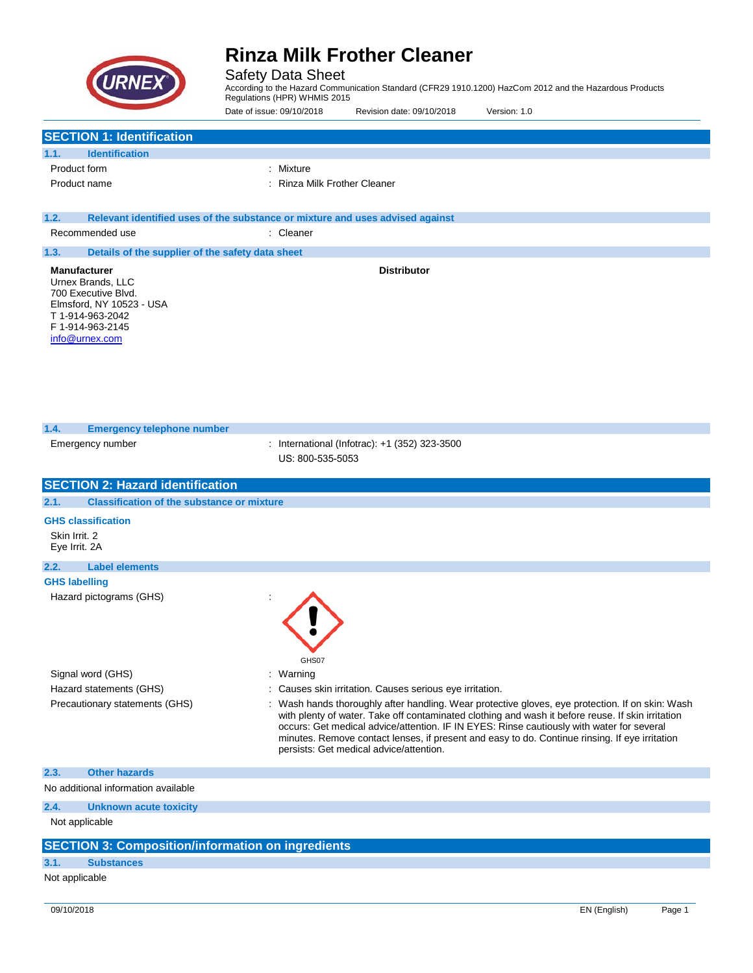

Safety Data Sheet

According to the Hazard Communication Standard (CFR29 1910.1200) HazCom 2012 and the Hazardous Products Regulations (HPR) WHMIS 2015

Date of issue: 09/10/2018 Revision date: 09/10/2018 Version: 1.0

|  | <b>SECTION 1: Identification</b> |
|--|----------------------------------|
|--|----------------------------------|

| 1.1.         | <b>Identification</b> |                              |
|--------------|-----------------------|------------------------------|
| Product form |                       | : Mixture                    |
|              | Product name          | : Rinza Milk Frother Cleaner |

| 1.2. | Relevant identified uses of the substance or mixture and uses advised against |           |                    |  |  |
|------|-------------------------------------------------------------------------------|-----------|--------------------|--|--|
|      | Recommended use                                                               | : Cleaner |                    |  |  |
| 1.3. | Details of the supplier of the safety data sheet                              |           |                    |  |  |
|      | <b>Manufacturer</b><br>Urnex Brands, LLC                                      |           | <b>Distributor</b> |  |  |

700 Executive Blvd. Elmsford, NY 10523 - USA T 1-914-963-2042 F 1-914-963-2145 [info@urnex.com](mailto:info@urnex.com)

| 1.4.                           | <b>Emergency telephone number</b>                        |                                                                                                                                                                                                                                                                                                                                                                                                                                               |
|--------------------------------|----------------------------------------------------------|-----------------------------------------------------------------------------------------------------------------------------------------------------------------------------------------------------------------------------------------------------------------------------------------------------------------------------------------------------------------------------------------------------------------------------------------------|
|                                | Emergency number                                         | : International (Infotrac): +1 (352) 323-3500<br>US: 800-535-5053                                                                                                                                                                                                                                                                                                                                                                             |
|                                | <b>SECTION 2: Hazard identification</b>                  |                                                                                                                                                                                                                                                                                                                                                                                                                                               |
| 2.1.                           | <b>Classification of the substance or mixture</b>        |                                                                                                                                                                                                                                                                                                                                                                                                                                               |
|                                | <b>GHS classification</b>                                |                                                                                                                                                                                                                                                                                                                                                                                                                                               |
| Skin Irrit. 2<br>Eye Irrit. 2A |                                                          |                                                                                                                                                                                                                                                                                                                                                                                                                                               |
| 2.2.                           | <b>Label elements</b>                                    |                                                                                                                                                                                                                                                                                                                                                                                                                                               |
| <b>GHS labelling</b>           |                                                          |                                                                                                                                                                                                                                                                                                                                                                                                                                               |
|                                | Hazard pictograms (GHS)                                  | GHS07                                                                                                                                                                                                                                                                                                                                                                                                                                         |
|                                | Signal word (GHS)                                        | Warning                                                                                                                                                                                                                                                                                                                                                                                                                                       |
|                                | Hazard statements (GHS)                                  | Causes skin irritation. Causes serious eye irritation.                                                                                                                                                                                                                                                                                                                                                                                        |
|                                | Precautionary statements (GHS)                           | Wash hands thoroughly after handling. Wear protective gloves, eye protection. If on skin: Wash<br>with plenty of water. Take off contaminated clothing and wash it before reuse. If skin irritation<br>occurs: Get medical advice/attention. IF IN EYES: Rinse cautiously with water for several<br>minutes. Remove contact lenses, if present and easy to do. Continue rinsing. If eye irritation<br>persists: Get medical advice/attention. |
| 2.3.                           | <b>Other hazards</b>                                     |                                                                                                                                                                                                                                                                                                                                                                                                                                               |
|                                | No additional information available                      |                                                                                                                                                                                                                                                                                                                                                                                                                                               |
| 2.4.                           | <b>Unknown acute toxicity</b>                            |                                                                                                                                                                                                                                                                                                                                                                                                                                               |
|                                | Not applicable                                           |                                                                                                                                                                                                                                                                                                                                                                                                                                               |
|                                | <b>SECTION 3: Composition/information on ingredients</b> |                                                                                                                                                                                                                                                                                                                                                                                                                                               |
| 3.1.                           | <b>Substances</b>                                        |                                                                                                                                                                                                                                                                                                                                                                                                                                               |
| Not applicable                 |                                                          |                                                                                                                                                                                                                                                                                                                                                                                                                                               |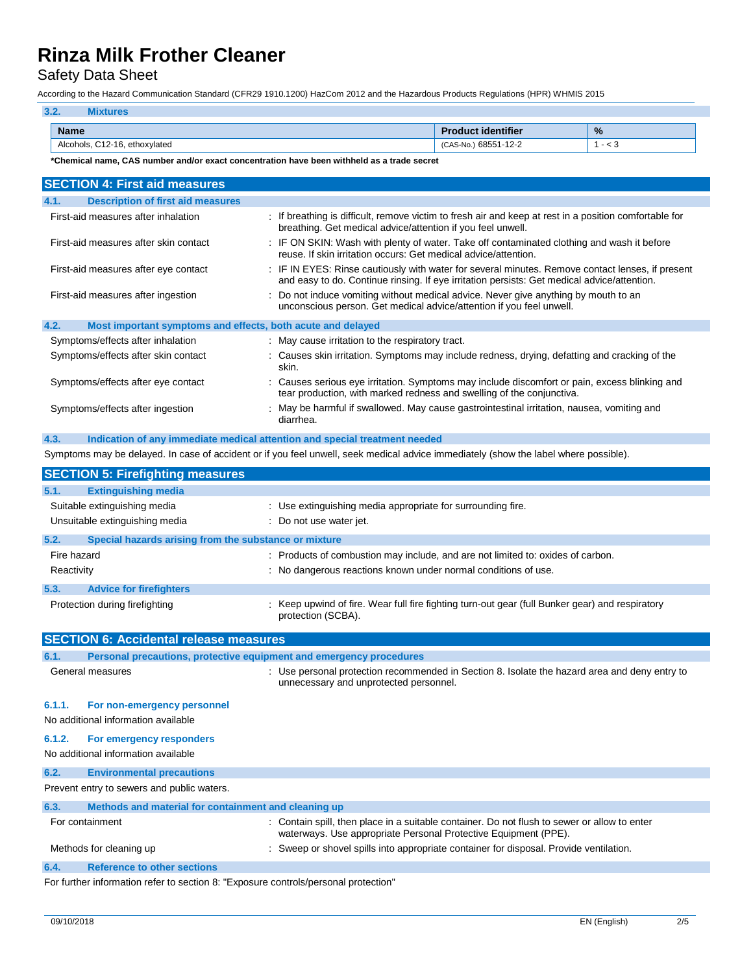Safety Data Sheet

According to the Hazard Communication Standard (CFR29 1910.1200) HazCom 2012 and the Hazardous Products Regulations (HPR) WHMIS 2015

| 3.2.                          |                           |               |
|-------------------------------|---------------------------|---------------|
| <b>Name</b>                   | <b>Product identifier</b> | $\frac{9}{6}$ |
| Alcohols, C12-16, ethoxylated | (CAS-No.) 68551-12-2      | - <           |

**\*Chemical name, CAS number and/or exact concentration have been withheld as a trade secret**

| <b>SECTION 4: First aid measures</b>                                |                                                                                                                                                                                               |
|---------------------------------------------------------------------|-----------------------------------------------------------------------------------------------------------------------------------------------------------------------------------------------|
| <b>Description of first aid measures</b><br>4.1.                    |                                                                                                                                                                                               |
| First-aid measures after inhalation                                 | If breathing is difficult, remove victim to fresh air and keep at rest in a position comfortable for<br>breathing. Get medical advice/attention if you feel unwell.                           |
| First-aid measures after skin contact                               | IF ON SKIN: Wash with plenty of water. Take off contaminated clothing and wash it before<br>reuse. If skin irritation occurs: Get medical advice/attention.                                   |
| First-aid measures after eye contact                                | IF IN EYES: Rinse cautiously with water for several minutes. Remove contact lenses, if present<br>and easy to do. Continue rinsing. If eye irritation persists: Get medical advice/attention. |
| First-aid measures after ingestion                                  | Do not induce vomiting without medical advice. Never give anything by mouth to an<br>unconscious person. Get medical advice/attention if you feel unwell.                                     |
| 4.2.<br>Most important symptoms and effects, both acute and delayed |                                                                                                                                                                                               |
| Symptoms/effects after inhalation                                   | : May cause irritation to the respiratory tract.                                                                                                                                              |
| Symptoms/effects after skin contact                                 | : Causes skin irritation. Symptoms may include redness, drying, defatting and cracking of the<br>skin.                                                                                        |
| Symptoms/effects after eye contact                                  | Causes serious eye irritation. Symptoms may include discomfort or pain, excess blinking and<br>tear production, with marked redness and swelling of the conjunctiva.                          |
| Symptoms/effects after ingestion                                    | : May be harmful if swallowed. May cause gastrointestinal irritation, nausea, vomiting and<br>diarrhea.                                                                                       |
| 4.3.                                                                | Indication of any immediate medical attention and special treatment needed                                                                                                                    |
|                                                                     | Symptoms may be delayed. In case of accident or if you feel unwell, seek medical advice immediately (show the label where possible).                                                          |
| <b>CECTION E. Eirofiabting monetizes</b>                            |                                                                                                                                                                                               |

|             | <b>SECTION 3: Firenghting measures</b>                |                                                                                                                       |
|-------------|-------------------------------------------------------|-----------------------------------------------------------------------------------------------------------------------|
| 5.1.        | <b>Extinguishing media</b>                            |                                                                                                                       |
|             | Suitable extinguishing media                          | : Use extinguishing media appropriate for surrounding fire.                                                           |
|             | Unsuitable extinguishing media                        | : Do not use water jet.                                                                                               |
| 5.2.        | Special hazards arising from the substance or mixture |                                                                                                                       |
| Fire hazard |                                                       | : Products of combustion may include, and are not limited to: oxides of carbon.                                       |
| Reactivity  |                                                       | : No dangerous reactions known under normal conditions of use.                                                        |
| 5.3.        | <b>Advice for firefighters</b>                        |                                                                                                                       |
|             | Protection during firefighting                        | : Keep upwind of fire. Wear full fire fighting turn-out gear (full Bunker gear) and respiratory<br>protection (SCBA). |

|        | <b>SECTION 6: Accidental release measures</b>                       |                                                                                                                                                                 |
|--------|---------------------------------------------------------------------|-----------------------------------------------------------------------------------------------------------------------------------------------------------------|
| 6.1.   | Personal precautions, protective equipment and emergency procedures |                                                                                                                                                                 |
|        | General measures                                                    | : Use personal protection recommended in Section 8. Isolate the hazard area and deny entry to<br>unnecessary and unprotected personnel.                         |
| 6.1.1. | For non-emergency personnel                                         |                                                                                                                                                                 |
|        | No additional information available                                 |                                                                                                                                                                 |
| 6.1.2. | For emergency responders                                            |                                                                                                                                                                 |
|        | No additional information available                                 |                                                                                                                                                                 |
| 6.2.   | <b>Environmental precautions</b>                                    |                                                                                                                                                                 |
|        | Prevent entry to sewers and public waters.                          |                                                                                                                                                                 |
| 6.3.   | Methods and material for containment and cleaning up                |                                                                                                                                                                 |
|        | For containment                                                     | : Contain spill, then place in a suitable container. Do not flush to sewer or allow to enter<br>waterways. Use appropriate Personal Protective Equipment (PPE). |
|        | Methods for cleaning up                                             | : Sweep or shovel spills into appropriate container for disposal. Provide ventilation.                                                                          |
| 6.4.   | <b>Reference to other sections</b>                                  |                                                                                                                                                                 |

For further information refer to section 8: "Exposure controls/personal protection"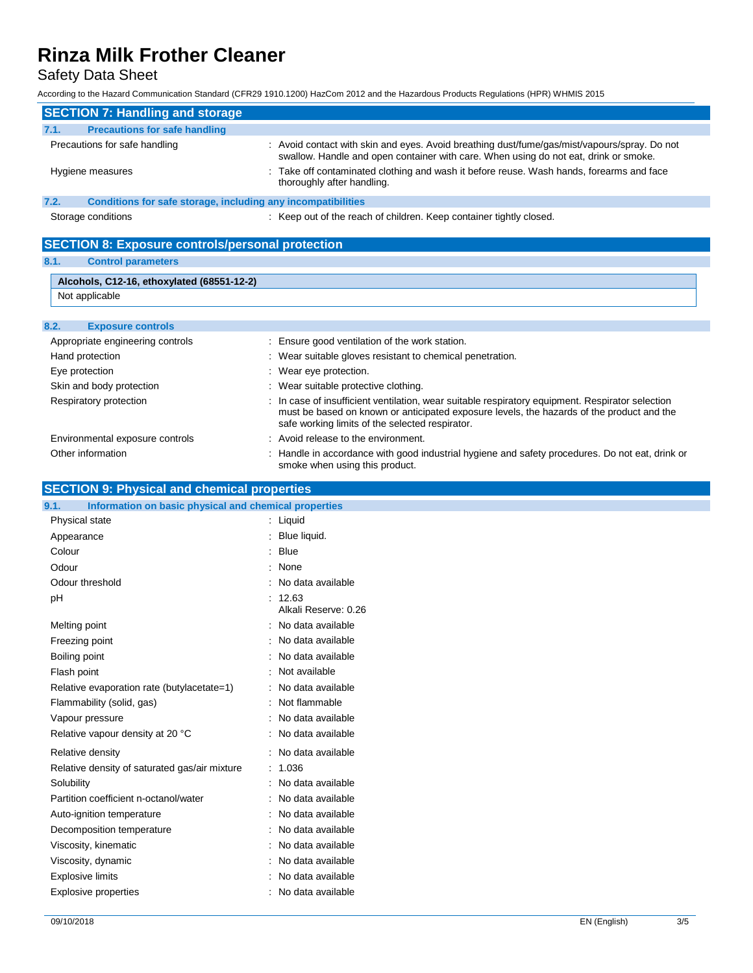Safety Data Sheet

According to the Hazard Communication Standard (CFR29 1910.1200) HazCom 2012 and the Hazardous Products Regulations (HPR) WHMIS 2015

| <b>SECTION 7: Handling and storage</b>                               |                                                                                                                                                                                      |
|----------------------------------------------------------------------|--------------------------------------------------------------------------------------------------------------------------------------------------------------------------------------|
| <b>Precautions for safe handling</b><br>7.1.                         |                                                                                                                                                                                      |
| Precautions for safe handling                                        | : Avoid contact with skin and eyes. Avoid breathing dust/fume/gas/mist/vapours/spray. Do not<br>swallow. Handle and open container with care. When using do not eat, drink or smoke. |
| Hygiene measures                                                     | : Take off contaminated clothing and wash it before reuse. Wash hands, forearms and face<br>thoroughly after handling.                                                               |
| 7.2.<br>Conditions for safe storage, including any incompatibilities |                                                                                                                                                                                      |
| Storage conditions                                                   | : Keep out of the reach of children. Keep container tightly closed.                                                                                                                  |

**SECTION 8: Exposure controls/personal protection**

### **8.1. Control parameters**

|     | Alcohols, C12-16, ethoxylated (68551-12-2) |
|-----|--------------------------------------------|
|     | Not applicable                             |
|     |                                            |
| 8.2 | <b>Exposure controls</b>                   |

| Appropriate engineering controls | : Ensure good ventilation of the work station.                                                                                                                                                                                                   |
|----------------------------------|--------------------------------------------------------------------------------------------------------------------------------------------------------------------------------------------------------------------------------------------------|
| Hand protection                  | : Wear suitable gloves resistant to chemical penetration.                                                                                                                                                                                        |
| Eye protection                   | : Wear eye protection.                                                                                                                                                                                                                           |
| Skin and body protection         | : Wear suitable protective clothing.                                                                                                                                                                                                             |
| Respiratory protection           | : In case of insufficient ventilation, wear suitable respiratory equipment. Respirator selection<br>must be based on known or anticipated exposure levels, the hazards of the product and the<br>safe working limits of the selected respirator. |
| Environmental exposure controls  | : Avoid release to the environment.                                                                                                                                                                                                              |
| Other information                | : Handle in accordance with good industrial hygiene and safety procedures. Do not eat, drink or<br>smoke when using this product.                                                                                                                |

## **SECTION 9: Physical and chemical properties**

| 9.1.                                          | Information on basic physical and chemical properties |  |
|-----------------------------------------------|-------------------------------------------------------|--|
| Physical state                                | $:$ Liquid                                            |  |
| Appearance                                    | : Blue liquid.                                        |  |
| Colour                                        | : Blue                                                |  |
| Odour                                         | : None                                                |  |
| Odour threshold                               | : No data available                                   |  |
| pH                                            | : 12.63<br>Alkali Reserve: 0.26                       |  |
| Melting point                                 | : No data available                                   |  |
| Freezing point                                | : No data available                                   |  |
| Boiling point                                 | : No data available                                   |  |
| Flash point                                   | : Not available                                       |  |
| Relative evaporation rate (butylacetate=1)    | : No data available                                   |  |
| Flammability (solid, gas)                     | : Not flammable                                       |  |
| Vapour pressure                               | : No data available                                   |  |
| Relative vapour density at 20 °C              | : No data available                                   |  |
| Relative density                              | : No data available                                   |  |
| Relative density of saturated gas/air mixture | : 1.036                                               |  |
| Solubility                                    | : No data available                                   |  |
| Partition coefficient n-octanol/water         | : No data available                                   |  |
| Auto-ignition temperature                     | : No data available                                   |  |
| Decomposition temperature                     | : No data available                                   |  |
| Viscosity, kinematic                          | : No data available                                   |  |
| Viscosity, dynamic                            | : No data available                                   |  |
| <b>Explosive limits</b>                       | : No data available                                   |  |
| <b>Explosive properties</b>                   | : No data available                                   |  |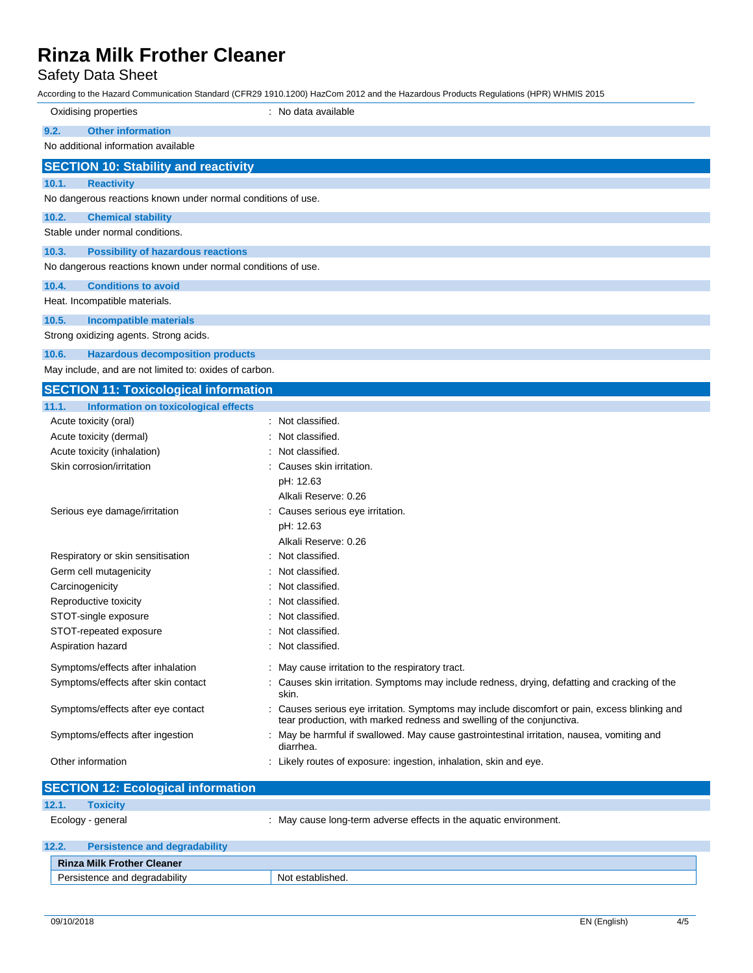Safety Data Sheet

According to the Hazard Communication Standard (CFR29 1910.1200) HazCom 2012 and the Hazardous Products Regulations (HPR) WHMIS 2015

| Oxidising properties                                                 | : No data available                                                                                                                                                    |  |
|----------------------------------------------------------------------|------------------------------------------------------------------------------------------------------------------------------------------------------------------------|--|
| 9.2.<br><b>Other information</b>                                     |                                                                                                                                                                        |  |
| No additional information available                                  |                                                                                                                                                                        |  |
| <b>SECTION 10: Stability and reactivity</b>                          |                                                                                                                                                                        |  |
| 10.1.<br><b>Reactivity</b>                                           |                                                                                                                                                                        |  |
| No dangerous reactions known under normal conditions of use.         |                                                                                                                                                                        |  |
| 10.2.<br><b>Chemical stability</b>                                   |                                                                                                                                                                        |  |
| Stable under normal conditions.                                      |                                                                                                                                                                        |  |
| 10.3.<br><b>Possibility of hazardous reactions</b>                   |                                                                                                                                                                        |  |
| No dangerous reactions known under normal conditions of use.         |                                                                                                                                                                        |  |
|                                                                      |                                                                                                                                                                        |  |
| 10.4.<br><b>Conditions to avoid</b><br>Heat. Incompatible materials. |                                                                                                                                                                        |  |
|                                                                      |                                                                                                                                                                        |  |
| 10.5.<br><b>Incompatible materials</b>                               |                                                                                                                                                                        |  |
| Strong oxidizing agents. Strong acids.                               |                                                                                                                                                                        |  |
| 10.6.<br><b>Hazardous decomposition products</b>                     |                                                                                                                                                                        |  |
| May include, and are not limited to: oxides of carbon.               |                                                                                                                                                                        |  |
| <b>SECTION 11: Toxicological information</b>                         |                                                                                                                                                                        |  |
| 11.1.<br>Information on toxicological effects                        |                                                                                                                                                                        |  |
| Acute toxicity (oral)                                                | : Not classified.                                                                                                                                                      |  |
| Acute toxicity (dermal)                                              | Not classified.                                                                                                                                                        |  |
| Acute toxicity (inhalation)                                          | Not classified.                                                                                                                                                        |  |
| Skin corrosion/irritation                                            | Causes skin irritation.                                                                                                                                                |  |
|                                                                      | pH: 12.63<br>Alkali Reserve: 0.26                                                                                                                                      |  |
| Serious eye damage/irritation                                        | Causes serious eye irritation.                                                                                                                                         |  |
|                                                                      | pH: 12.63                                                                                                                                                              |  |
|                                                                      | Alkali Reserve: 0.26                                                                                                                                                   |  |
| Respiratory or skin sensitisation                                    | Not classified.                                                                                                                                                        |  |
| Germ cell mutagenicity                                               | Not classified.                                                                                                                                                        |  |
| Carcinogenicity                                                      | Not classified.                                                                                                                                                        |  |
| Reproductive toxicity                                                | Not classified.                                                                                                                                                        |  |
| STOT-single exposure                                                 | Not classified.                                                                                                                                                        |  |
| STOT-repeated exposure                                               | Not classified.                                                                                                                                                        |  |
| Aspiration hazard                                                    | Not classified.                                                                                                                                                        |  |
| Symptoms/effects after inhalation                                    | : May cause irritation to the respiratory tract.                                                                                                                       |  |
| Symptoms/effects after skin contact                                  | : Causes skin irritation. Symptoms may include redness, drying, defatting and cracking of the                                                                          |  |
|                                                                      | skin.                                                                                                                                                                  |  |
| Symptoms/effects after eye contact                                   | : Causes serious eye irritation. Symptoms may include discomfort or pain, excess blinking and<br>tear production, with marked redness and swelling of the conjunctiva. |  |
| Symptoms/effects after ingestion                                     | : May be harmful if swallowed. May cause gastrointestinal irritation, nausea, vomiting and<br>diarrhea.                                                                |  |
| Other information                                                    | : Likely routes of exposure: ingestion, inhalation, skin and eye.                                                                                                      |  |
|                                                                      |                                                                                                                                                                        |  |
| <b>SECTION 12: Ecological information</b>                            |                                                                                                                                                                        |  |
| 12.1.<br><b>Toxicity</b>                                             |                                                                                                                                                                        |  |

Ecology - general **Ecology** - general in the aquatic environment. **12.2. Persistence and degradability Rinza Milk Frother Cleaner**

Persistence and degradability Not established.